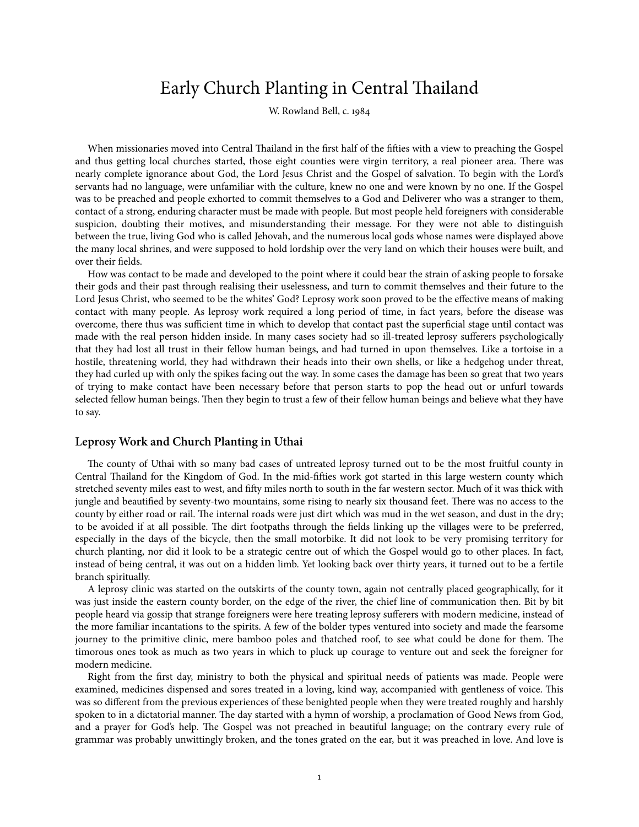# Early Church Planting in Central Thailand

W. Rowland Bell, c.

When missionaries moved into Central Thailand in the first half of the fifties with a view to preaching the Gospel and thus getting local churches started, those eight counties were virgin territory, a real pioneer area. There was nearly complete ignorance about God, the Lord Jesus Christ and the Gospel of salvation. To begin with the Lord's servants had no language, were unfamiliar with the culture, knew no one and were known by no one. If the Gospel was to be preached and people exhorted to commit themselves to a God and Deliverer who was a stranger to them, contact of a strong, enduring character must be made with people. But most people held foreigners with considerable suspicion, doubting their motives, and misunderstanding their message. For they were not able to distinguish between the true, living God who is called Jehovah, and the numerous local gods whose names were displayed above the many local shrines, and were supposed to hold lordship over the very land on which their houses were built, and over their fields.

How was contact to be made and developed to the point where it could bear the strain of asking people to forsake their gods and their past through realising their uselessness, and turn to commit themselves and their future to the Lord Jesus Christ, who seemed to be the whites' God? Leprosy work soon proved to be the effective means of making contact with many people. As leprosy work required a long period of time, in fact years, before the disease was overcome, there thus was sufficient time in which to develop that contact past the superficial stage until contact was made with the real person hidden inside. In many cases society had so ill-treated leprosy sufferers psychologically that they had lost all trust in their fellow human beings, and had turned in upon themselves. Like a tortoise in a hostile, threatening world, they had withdrawn their heads into their own shells, or like a hedgehog under threat, they had curled up with only the spikes facing out the way. In some cases the damage has been so great that two years of trying to make contact have been necessary before that person starts to pop the head out or unfurl towards selected fellow human beings. Then they begin to trust a few of their fellow human beings and believe what they have to say.

## **Leprosy Work and Church Planting in Uthai**

The county of Uthai with so many bad cases of untreated leprosy turned out to be the most fruitful county in Central Thailand for the Kingdom of God. In the mid-fifties work got started in this large western county which stretched seventy miles east to west, and fifty miles north to south in the far western sector. Much of it was thick with jungle and beautified by seventy-two mountains, some rising to nearly six thousand feet. There was no access to the county by either road or rail. The internal roads were just dirt which was mud in the wet season, and dust in the dry; to be avoided if at all possible. The dirt footpaths through the fields linking up the villages were to be preferred, especially in the days of the bicycle, then the small motorbike. It did not look to be very promising territory for church planting, nor did it look to be a strategic centre out of which the Gospel would go to other places. In fact, instead of being central, it was out on a hidden limb. Yet looking back over thirty years, it turned out to be a fertile branch spiritually.

A leprosy clinic was started on the outskirts of the county town, again not centrally placed geographically, for it was just inside the eastern county border, on the edge of the river, the chief line of communication then. Bit by bit people heard via gossip that strange foreigners were here treating leprosy sufferers with modern medicine, instead of the more familiar incantations to the spirits. A few of the bolder types ventured into society and made the fearsome journey to the primitive clinic, mere bamboo poles and thatched roof, to see what could be done for them. The timorous ones took as much as two years in which to pluck up courage to venture out and seek the foreigner for modern medicine.

Right from the first day, ministry to both the physical and spiritual needs of patients was made. People were examined, medicines dispensed and sores treated in a loving, kind way, accompanied with gentleness of voice. This was so different from the previous experiences of these benighted people when they were treated roughly and harshly spoken to in a dictatorial manner. The day started with a hymn of worship, a proclamation of Good News from God, and a prayer for God's help. The Gospel was not preached in beautiful language; on the contrary every rule of grammar was probably unwittingly broken, and the tones grated on the ear, but it was preached in love. And love is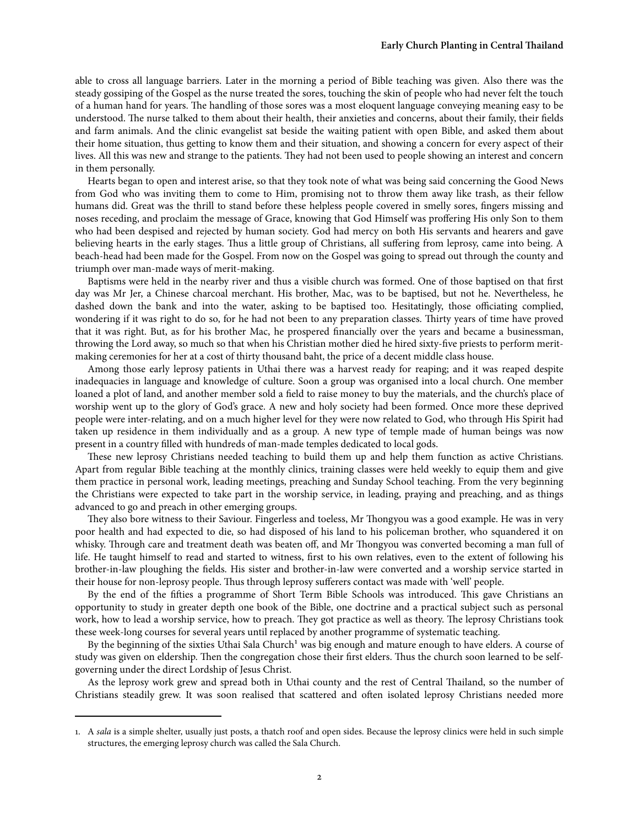able to cross all language barriers. Later in the morning a period of Bible teaching was given. Also there was the steady gossiping of the Gospel as the nurse treated the sores, touching the skin of people who had never felt the touch of a human hand for years. The handling of those sores was a most eloquent language conveying meaning easy to be understood. The nurse talked to them about their health, their anxieties and concerns, about their family, their fields and farm animals. And the clinic evangelist sat beside the waiting patient with open Bible, and asked them about their home situation, thus getting to know them and their situation, and showing a concern for every aspect of their lives. All this was new and strange to the patients. They had not been used to people showing an interest and concern in them personally.

Hearts began to open and interest arise, so that they took note of what was being said concerning the Good News from God who was inviting them to come to Him, promising not to throw them away like trash, as their fellow humans did. Great was the thrill to stand before these helpless people covered in smelly sores, fingers missing and noses receding, and proclaim the message of Grace, knowing that God Himself was proffering His only Son to them who had been despised and rejected by human society. God had mercy on both His servants and hearers and gave believing hearts in the early stages. Thus a little group of Christians, all suffering from leprosy, came into being. A beach-head had been made for the Gospel. From now on the Gospel was going to spread out through the county and triumph over man-made ways of merit-making.

Baptisms were held in the nearby river and thus a visible church was formed. One of those baptised on that first day was Mr Jer, a Chinese charcoal merchant. His brother, Mac, was to be baptised, but not he. Nevertheless, he dashed down the bank and into the water, asking to be baptised too. Hesitatingly, those officiating complied, wondering if it was right to do so, for he had not been to any preparation classes. Thirty years of time have proved that it was right. But, as for his brother Mac, he prospered financially over the years and became a businessman, throwing the Lord away, so much so that when his Christian mother died he hired sixty-five priests to perform meritmaking ceremonies for her at a cost of thirty thousand baht, the price of a decent middle class house.

Among those early leprosy patients in Uthai there was a harvest ready for reaping; and it was reaped despite inadequacies in language and knowledge of culture. Soon a group was organised into a local church. One member loaned a plot of land, and another member sold a field to raise money to buy the materials, and the church's place of worship went up to the glory of God's grace. A new and holy society had been formed. Once more these deprived people were inter-relating, and on a much higher level for they were now related to God, who through His Spirit had taken up residence in them individually and as a group. A new type of temple made of human beings was now present in a country filled with hundreds of man-made temples dedicated to local gods.

These new leprosy Christians needed teaching to build them up and help them function as active Christians. Apart from regular Bible teaching at the monthly clinics, training classes were held weekly to equip them and give them practice in personal work, leading meetings, preaching and Sunday School teaching. From the very beginning the Christians were expected to take part in the worship service, in leading, praying and preaching, and as things advanced to go and preach in other emerging groups.

They also bore witness to their Saviour. Fingerless and toeless, Mr Thongyou was a good example. He was in very poor health and had expected to die, so had disposed of his land to his policeman brother, who squandered it on whisky. Through care and treatment death was beaten off, and Mr Thongyou was converted becoming a man full of life. He taught himself to read and started to witness, first to his own relatives, even to the extent of following his brother-in-law ploughing the fields. His sister and brother-in-law were converted and a worship service started in their house for non-leprosy people. Thus through leprosy sufferers contact was made with 'well' people.

By the end of the fifties a programme of Short Term Bible Schools was introduced. This gave Christians an opportunity to study in greater depth one book of the Bible, one doctrine and a practical subject such as personal work, how to lead a worship service, how to preach. They got practice as well as theory. The leprosy Christians took these week-long courses for several years until replaced by another programme of systematic teaching.

By the beginning of the sixties Uthai Sala Church<sup>1</sup> was big enough and mature enough to have elders. A course of study was given on eldership. Then the congregation chose their first elders. Thus the church soon learned to be selfgoverning under the direct Lordship of Jesus Christ.

As the leprosy work grew and spread both in Uthai county and the rest of Central Thailand, so the number of Christians steadily grew. It was soon realised that scattered and often isolated leprosy Christians needed more

<sup>.</sup> A sala is a simple shelter, usually just posts, a thatch roof and open sides. Because the leprosy clinics were held in such simple structures, the emerging leprosy church was called the Sala Church.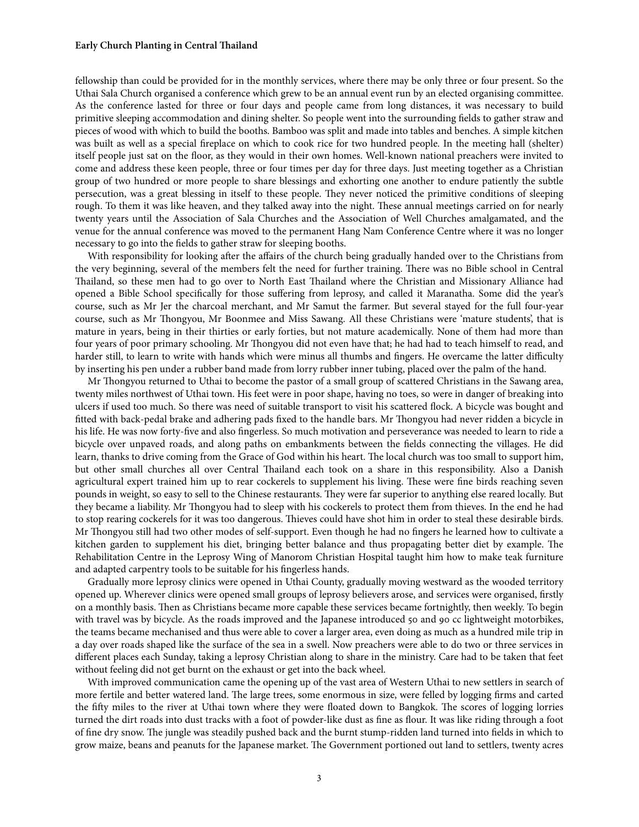#### **Early Church Planting in Central Thailand**

fellowship than could be provided for in the monthly services, where there may be only three or four present. So the Uthai Sala Church organised a conference which grew to be an annual event run by an elected organising committee. As the conference lasted for three or four days and people came from long distances, it was necessary to build primitive sleeping accommodation and dining shelter. So people went into the surrounding fields to gather straw and pieces of wood with which to build the booths. Bamboo was split and made into tables and benches. A simple kitchen was built as well as a special fireplace on which to cook rice for two hundred people. In the meeting hall (shelter) itself people just sat on the floor, as they would in their own homes. Well-known national preachers were invited to come and address these keen people, three or four times per day for three days. Just meeting together as a Christian group of two hundred or more people to share blessings and exhorting one another to endure patiently the subtle persecution, was a great blessing in itself to these people. They never noticed the primitive conditions of sleeping rough. To them it was like heaven, and they talked away into the night. These annual meetings carried on for nearly twenty years until the Association of Sala Churches and the Association of Well Churches amalgamated, and the venue for the annual conference was moved to the permanent Hang Nam Conference Centre where it was no longer necessary to go into the fields to gather straw for sleeping booths.

With responsibility for looking after the affairs of the church being gradually handed over to the Christians from the very beginning, several of the members felt the need for further training. There was no Bible school in Central Thailand, so these men had to go over to North East Thailand where the Christian and Missionary Alliance had opened a Bible School specifically for those suffering from leprosy, and called it Maranatha. Some did the year's course, such as Mr Jer the charcoal merchant, and Mr Samut the farmer. But several stayed for the full four-year course, such as Mr Thongyou, Mr Boonmee and Miss Sawang. All these Christians were 'mature students', that is mature in years, being in their thirties or early forties, but not mature academically. None of them had more than four years of poor primary schooling. Mr Thongyou did not even have that; he had had to teach himself to read, and harder still, to learn to write with hands which were minus all thumbs and fingers. He overcame the latter difficulty by inserting his pen under a rubber band made from lorry rubber inner tubing, placed over the palm of the hand.

Mr Thongyou returned to Uthai to become the pastor of a small group of scattered Christians in the Sawang area, twenty miles northwest of Uthai town. His feet were in poor shape, having no toes, so were in danger of breaking into ulcers if used too much. So there was need of suitable transport to visit his scattered flock. A bicycle was bought and fitted with back-pedal brake and adhering pads fixed to the handle bars. Mr Thongyou had never ridden a bicycle in his life. He was now forty-five and also fingerless. So much motivation and perseverance was needed to learn to ride a bicycle over unpaved roads, and along paths on embankments between the fields connecting the villages. He did learn, thanks to drive coming from the Grace of God within his heart. The local church was too small to support him, but other small churches all over Central Thailand each took on a share in this responsibility. Also a Danish agricultural expert trained him up to rear cockerels to supplement his living. These were fine birds reaching seven pounds in weight, so easy to sell to the Chinese restaurants. They were far superior to anything else reared locally. But they became a liability. Mr Thongyou had to sleep with his cockerels to protect them from thieves. In the end he had to stop rearing cockerels for it was too dangerous. Thieves could have shot him in order to steal these desirable birds. Mr Thongyou still had two other modes of self-support. Even though he had no fingers he learned how to cultivate a kitchen garden to supplement his diet, bringing better balance and thus propagating better diet by example. The Rehabilitation Centre in the Leprosy Wing of Manorom Christian Hospital taught him how to make teak furniture and adapted carpentry tools to be suitable for his fingerless hands.

Gradually more leprosy clinics were opened in Uthai County, gradually moving westward as the wooded territory opened up. Wherever clinics were opened small groups of leprosy believers arose, and services were organised, firstly on a monthly basis. Then as Christians became more capable these services became fortnightly, then weekly. To begin with travel was by bicycle. As the roads improved and the Japanese introduced 50 and 90 cc lightweight motorbikes, the teams became mechanised and thus were able to cover a larger area, even doing as much as a hundred mile trip in a day over roads shaped like the surface of the sea in a swell. Now preachers were able to do two or three services in different places each Sunday, taking a leprosy Christian along to share in the ministry. Care had to be taken that feet without feeling did not get burnt on the exhaust or get into the back wheel.

With improved communication came the opening up of the vast area of Western Uthai to new settlers in search of more fertile and better watered land. The large trees, some enormous in size, were felled by logging firms and carted the fifty miles to the river at Uthai town where they were floated down to Bangkok. The scores of logging lorries turned the dirt roads into dust tracks with a foot of powder-like dust as fine as flour. It was like riding through a foot of fine dry snow. The jungle was steadily pushed back and the burnt stump-ridden land turned into fields in which to grow maize, beans and peanuts for the Japanese market. The Government portioned out land to settlers, twenty acres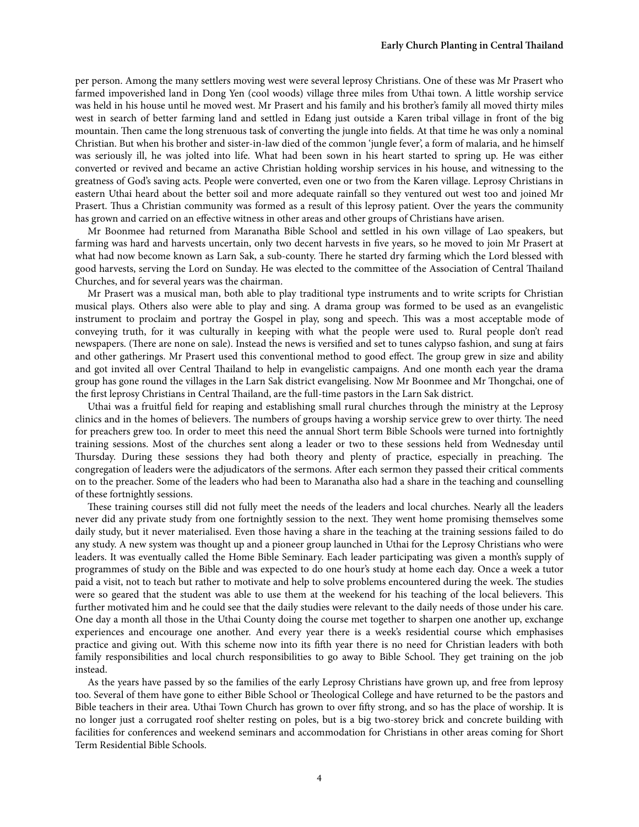per person. Among the many settlers moving west were several leprosy Christians. One of these was Mr Prasert who farmed impoverished land in Dong Yen (cool woods) village three miles from Uthai town. A little worship service was held in his house until he moved west. Mr Prasert and his family and his brother's family all moved thirty miles west in search of better farming land and settled in Edang just outside a Karen tribal village in front of the big mountain. Then came the long strenuous task of converting the jungle into fields. At that time he was only a nominal Christian. But when his brother and sister-in-law died of the common 'jungle fever', a form of malaria, and he himself was seriously ill, he was jolted into life. What had been sown in his heart started to spring up. He was either converted or revived and became an active Christian holding worship services in his house, and witnessing to the greatness of God's saving acts. People were converted, even one or two from the Karen village. Leprosy Christians in eastern Uthai heard about the better soil and more adequate rainfall so they ventured out west too and joined Mr Prasert. Thus a Christian community was formed as a result of this leprosy patient. Over the years the community has grown and carried on an effective witness in other areas and other groups of Christians have arisen.

Mr Boonmee had returned from Maranatha Bible School and settled in his own village of Lao speakers, but farming was hard and harvests uncertain, only two decent harvests in five years, so he moved to join Mr Prasert at what had now become known as Larn Sak, a sub-county. There he started dry farming which the Lord blessed with good harvests, serving the Lord on Sunday. He was elected to the committee of the Association of Central Thailand Churches, and for several years was the chairman.

Mr Prasert was a musical man, both able to play traditional type instruments and to write scripts for Christian musical plays. Others also were able to play and sing. A drama group was formed to be used as an evangelistic instrument to proclaim and portray the Gospel in play, song and speech. This was a most acceptable mode of conveying truth, for it was culturally in keeping with what the people were used to. Rural people don't read newspapers. (There are none on sale). Instead the news is versified and set to tunes calypso fashion, and sung at fairs and other gatherings. Mr Prasert used this conventional method to good effect. The group grew in size and ability and got invited all over Central Thailand to help in evangelistic campaigns. And one month each year the drama group has gone round the villages in the Larn Sak district evangelising. Now Mr Boonmee and Mr Thongchai, one of the first leprosy Christians in Central Thailand, are the full-time pastors in the Larn Sak district.

Uthai was a fruitful field for reaping and establishing small rural churches through the ministry at the Leprosy clinics and in the homes of believers. The numbers of groups having a worship service grew to over thirty. The need for preachers grew too. In order to meet this need the annual Short term Bible Schools were turned into fortnightly training sessions. Most of the churches sent along a leader or two to these sessions held from Wednesday until Thursday. During these sessions they had both theory and plenty of practice, especially in preaching. The congregation of leaders were the adjudicators of the sermons. After each sermon they passed their critical comments on to the preacher. Some of the leaders who had been to Maranatha also had a share in the teaching and counselling of these fortnightly sessions.

These training courses still did not fully meet the needs of the leaders and local churches. Nearly all the leaders never did any private study from one fortnightly session to the next. They went home promising themselves some daily study, but it never materialised. Even those having a share in the teaching at the training sessions failed to do any study. A new system was thought up and a pioneer group launched in Uthai for the Leprosy Christians who were leaders. It was eventually called the Home Bible Seminary. Each leader participating was given a month's supply of programmes of study on the Bible and was expected to do one hour's study at home each day. Once a week a tutor paid a visit, not to teach but rather to motivate and help to solve problems encountered during the week. The studies were so geared that the student was able to use them at the weekend for his teaching of the local believers. This further motivated him and he could see that the daily studies were relevant to the daily needs of those under his care. One day a month all those in the Uthai County doing the course met together to sharpen one another up, exchange experiences and encourage one another. And every year there is a week's residential course which emphasises practice and giving out. With this scheme now into its fih year there is no need for Christian leaders with both family responsibilities and local church responsibilities to go away to Bible School. They get training on the job instead.

As the years have passed by so the families of the early Leprosy Christians have grown up, and free from leprosy too. Several of them have gone to either Bible School or Theological College and have returned to be the pastors and Bible teachers in their area. Uthai Town Church has grown to over fifty strong, and so has the place of worship. It is no longer just a corrugated roof shelter resting on poles, but is a big two-storey brick and concrete building with facilities for conferences and weekend seminars and accommodation for Christians in other areas coming for Short Term Residential Bible Schools.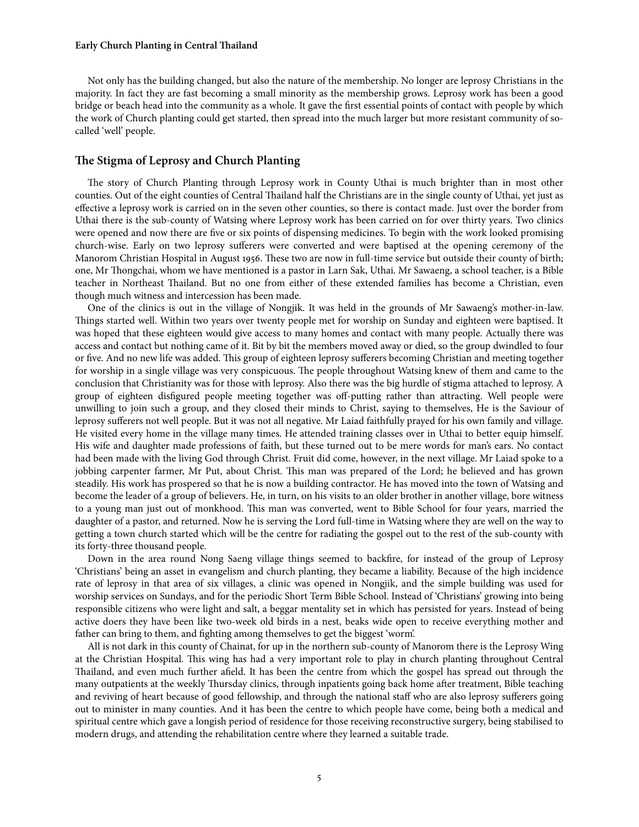### **Early Church Planting in Central Thailand**

Not only has the building changed, but also the nature of the membership. No longer are leprosy Christians in the majority. In fact they are fast becoming a small minority as the membership grows. Leprosy work has been a good bridge or beach head into the community as a whole. It gave the first essential points of contact with people by which the work of Church planting could get started, then spread into the much larger but more resistant community of socalled 'well' people.

## **e Stigma of Leprosy and Church Planting**

The story of Church Planting through Leprosy work in County Uthai is much brighter than in most other counties. Out of the eight counties of Central Thailand half the Christians are in the single county of Uthai, yet just as effective a leprosy work is carried on in the seven other counties, so there is contact made. Just over the border from Uthai there is the sub-county of Watsing where Leprosy work has been carried on for over thirty years. Two clinics were opened and now there are five or six points of dispensing medicines. To begin with the work looked promising church-wise. Early on two leprosy sufferers were converted and were baptised at the opening ceremony of the Manorom Christian Hospital in August 1956. These two are now in full-time service but outside their county of birth; one, Mr Thongchai, whom we have mentioned is a pastor in Larn Sak, Uthai. Mr Sawaeng, a school teacher, is a Bible teacher in Northeast Thailand. But no one from either of these extended families has become a Christian, even though much witness and intercession has been made.

One of the clinics is out in the village of Nongjik. It was held in the grounds of Mr Sawaeng's mother-in-law. Things started well. Within two years over twenty people met for worship on Sunday and eighteen were baptised. It was hoped that these eighteen would give access to many homes and contact with many people. Actually there was access and contact but nothing came of it. Bit by bit the members moved away or died, so the group dwindled to four or five. And no new life was added. This group of eighteen leprosy sufferers becoming Christian and meeting together for worship in a single village was very conspicuous. The people throughout Watsing knew of them and came to the conclusion that Christianity was for those with leprosy. Also there was the big hurdle of stigma attached to leprosy. A group of eighteen disfigured people meeting together was off-putting rather than attracting. Well people were unwilling to join such a group, and they closed their minds to Christ, saying to themselves, He is the Saviour of leprosy sufferers not well people. But it was not all negative. Mr Laiad faithfully prayed for his own family and village. He visited every home in the village many times. He attended training classes over in Uthai to better equip himself. His wife and daughter made professions of faith, but these turned out to be mere words for man's ears. No contact had been made with the living God through Christ. Fruit did come, however, in the next village. Mr Laiad spoke to a jobbing carpenter farmer, Mr Put, about Christ. This man was prepared of the Lord; he believed and has grown steadily. His work has prospered so that he is now a building contractor. He has moved into the town of Watsing and become the leader of a group of believers. He, in turn, on his visits to an older brother in another village, bore witness to a young man just out of monkhood. This man was converted, went to Bible School for four years, married the daughter of a pastor, and returned. Now he is serving the Lord full-time in Watsing where they are well on the way to getting a town church started which will be the centre for radiating the gospel out to the rest of the sub-county with its forty-three thousand people.

Down in the area round Nong Saeng village things seemed to backfire, for instead of the group of Leprosy 'Christians' being an asset in evangelism and church planting, they became a liability. Because of the high incidence rate of leprosy in that area of six villages, a clinic was opened in Nongjik, and the simple building was used for worship services on Sundays, and for the periodic Short Term Bible School. Instead of 'Christians' growing into being responsible citizens who were light and salt, a beggar mentality set in which has persisted for years. Instead of being active doers they have been like two-week old birds in a nest, beaks wide open to receive everything mother and father can bring to them, and fighting among themselves to get the biggest 'worm'.

All is not dark in this county of Chainat, for up in the northern sub-county of Manorom there is the Leprosy Wing at the Christian Hospital. This wing has had a very important role to play in church planting throughout Central Thailand, and even much further afield. It has been the centre from which the gospel has spread out through the many outpatients at the weekly Thursday clinics, through inpatients going back home after treatment, Bible teaching and reviving of heart because of good fellowship, and through the national staff who are also leprosy sufferers going out to minister in many counties. And it has been the centre to which people have come, being both a medical and spiritual centre which gave a longish period of residence for those receiving reconstructive surgery, being stabilised to modern drugs, and attending the rehabilitation centre where they learned a suitable trade.